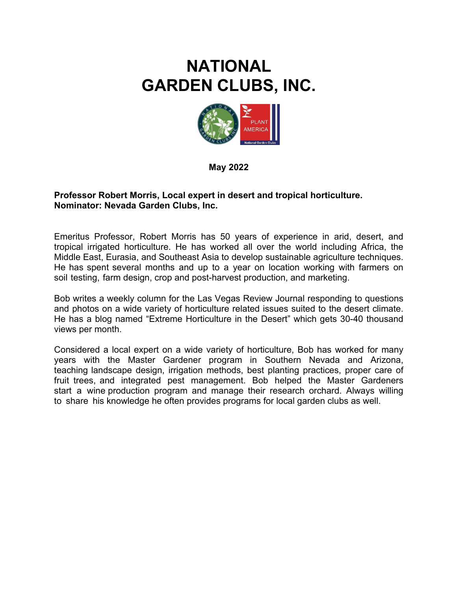## **NATIONAL GARDEN CLUBS, INC.**



**May 2022**

## **Professor Robert Morris, Local expert in desert and tropical horticulture. Nominator: Nevada Garden Clubs, Inc.**

Emeritus Professor, Robert Morris has 50 years of experience in arid, desert, and tropical irrigated horticulture. He has worked all over the world including Africa, the Middle East, Eurasia, and Southeast Asia to develop sustainable agriculture techniques. He has spent several months and up to a year on location working with farmers on soil testing, farm design, crop and post-harvest production, and marketing.

Bob writes a weekly column for the Las Vegas Review Journal responding to questions and photos on a wide variety of horticulture related issues suited to the desert climate. He has a blog named "Extreme Horticulture in the Desert" which gets 30-40 thousand views per month.

Considered a local expert on a wide variety of horticulture, Bob has worked for many years with the Master Gardener program in Southern Nevada and Arizona, teaching landscape design, irrigation methods, best planting practices, proper care of fruit trees, and integrated pest management. Bob helped the Master Gardeners start a wine production program and manage their research orchard. Always willing to share his knowledge he often provides programs for local garden clubs as well.